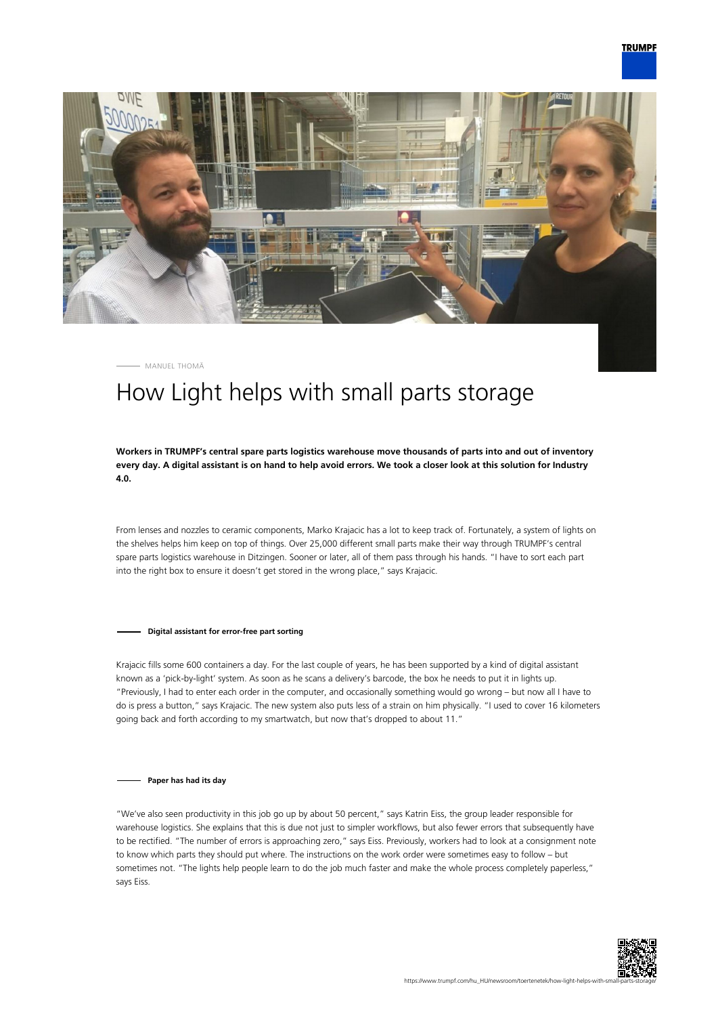



MANUEL THOMÄ

## How Light helps with small parts storage

**Workers in TRUMPF's central spare parts logistics warehouse move thousands of parts into and out of inventory every day. A digital assistant is on hand to help avoid errors. We took a closer look at this solution for Industry 4.0.**

From lenses and nozzles to ceramic components, Marko Krajacic has a lot to keep track of. Fortunately, a system of lights on the shelves helps him keep on top of things. Over 25,000 different small parts make their way through TRUMPF's central spare parts logistics warehouse in Ditzingen. Sooner or later, all of them pass through his hands. "I have to sort each part into the right box to ensure it doesn't get stored in the wrong place," says Krajacic.

**Digital assistant for error-free part sorting**

Krajacic fills some 600 containers a day. For the last couple of years, he has been supported by a kind of digital assistant known as a 'pick-by-light' system. As soon as he scans a delivery's barcode, the box he needs to put it in lights up. "Previously, I had to enter each order in the computer, and occasionally something would go wrong – but now all I have to do is press a button," says Krajacic. The new system also puts less of a strain on him physically. "I used to cover 16 kilometers going back and forth according to my smartwatch, but now that's dropped to about 11."

## **Paper has had its day**

"We've also seen productivity in this job go up by about 50 percent," says Katrin Eiss, the group leader responsible for warehouse logistics. She explains that this is due not just to simpler workflows, but also fewer errors that subsequently have to be rectified. "The number of errors is approaching zero," says Eiss. Previously, workers had to look at a consignment note to know which parts they should put where. The instructions on the work order were sometimes easy to follow – but sometimes not. "The lights help people learn to do the job much faster and make the whole process completely paperless," says Eiss.